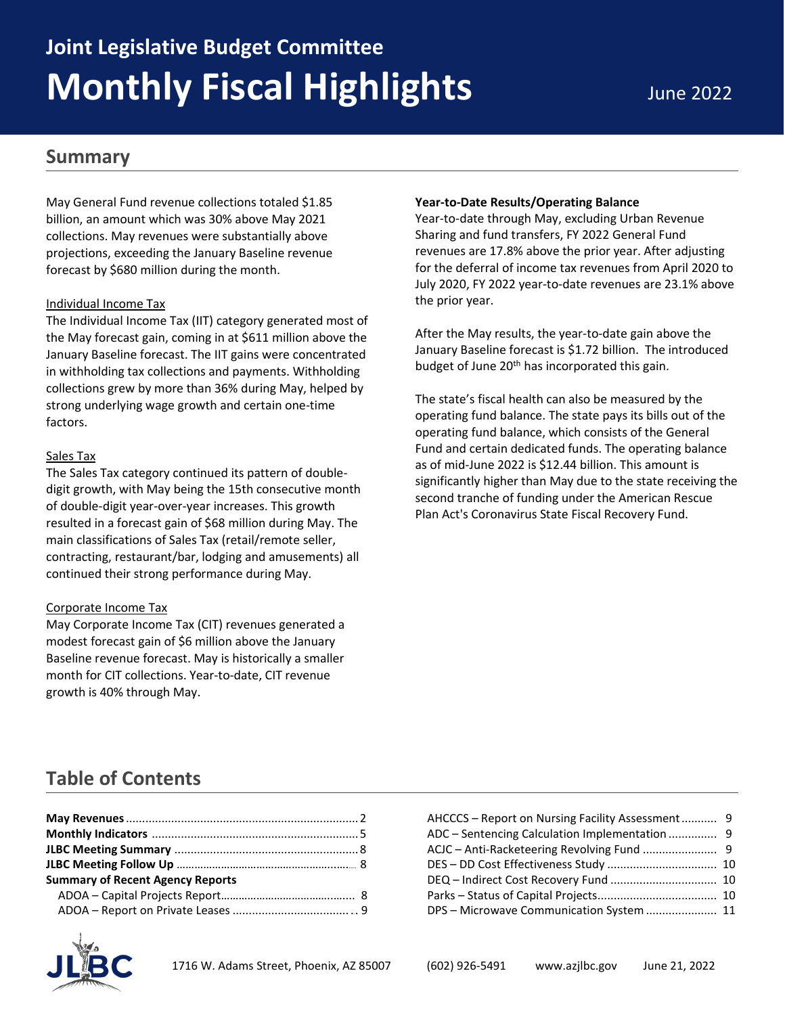# **Joint Legislative Budget Committee Monthly Fiscal Highlights** June 2022

### **Summary**

May General Fund revenue collections totaled \$1.85 billion, an amount which was 30% above May 2021 collections. May revenues were substantially above projections, exceeding the January Baseline revenue forecast by \$680 million during the month.

#### Individual Income Tax

The Individual Income Tax (IIT) category generated most of the May forecast gain, coming in at \$611 million above the January Baseline forecast. The IIT gains were concentrated in withholding tax collections and payments. Withholding collections grew by more than 36% during May, helped by strong underlying wage growth and certain one-time factors.

#### Sales Tax

The Sales Tax category continued its pattern of doubledigit growth, with May being the 15th consecutive month of double-digit year-over-year increases. This growth resulted in a forecast gain of \$68 million during May. The main classifications of Sales Tax (retail/remote seller, contracting, restaurant/bar, lodging and amusements) all continued their strong performance during May.

#### Corporate Income Tax

May Corporate Income Tax (CIT) revenues generated a modest forecast gain of \$6 million above the January Baseline revenue forecast. May is historically a smaller month for CIT collections. Year-to-date, CIT revenue growth is 40% through May.

#### **Year-to-Date Results/Operating Balance**

Year-to-date through May, excluding Urban Revenue Sharing and fund transfers, FY 2022 General Fund revenues are 17.8% above the prior year. After adjusting for the deferral of income tax revenues from April 2020 to July 2020, FY 2022 year-to-date revenues are 23.1% above the prior year.

After the May results, the year-to-date gain above the January Baseline forecast is \$1.72 billion. The introduced budget of June 20<sup>th</sup> has incorporated this gain.

The state's fiscal health can also be measured by the operating fund balance. The state pays its bills out of the operating fund balance, which consists of the General Fund and certain dedicated funds. The operating balance as of mid-June 2022 is \$12.44 billion. This amount is significantly higher than May due to the state receiving the second tranche of funding under the American Rescue Plan Act's Coronavirus State Fiscal Recovery Fund.

### **Table of Contents**

| <b>Summary of Recent Agency Reports</b> |  |
|-----------------------------------------|--|
|                                         |  |
|                                         |  |



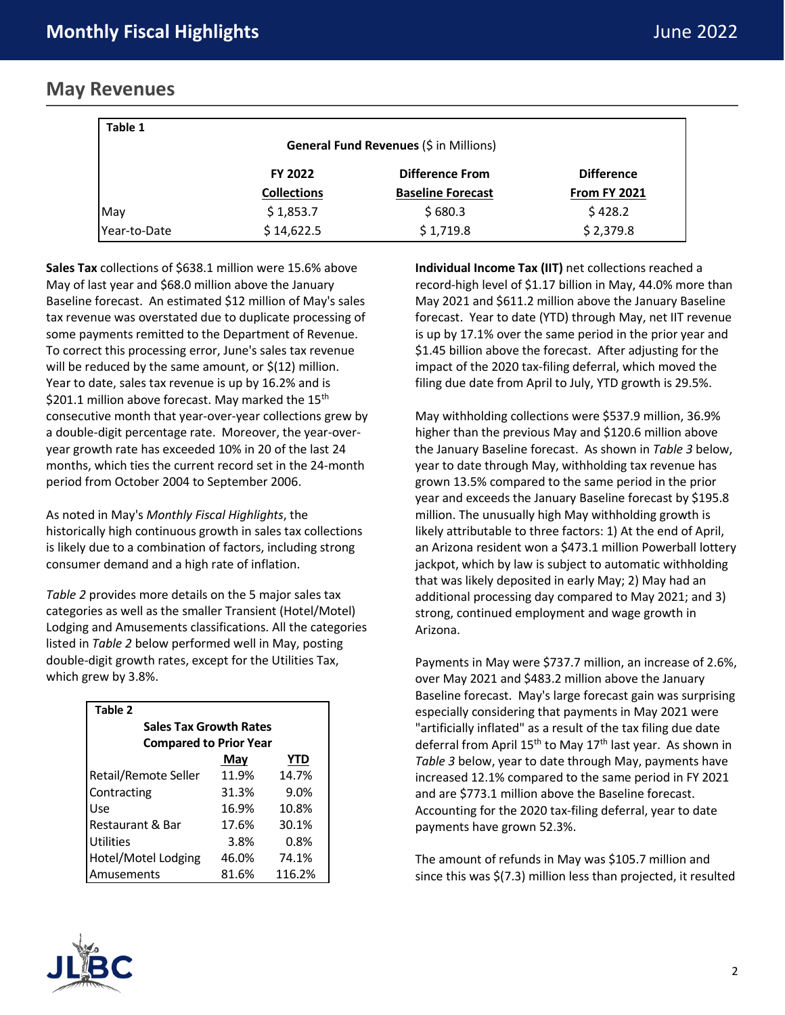### **May Revenues**

| Table 1      |                    |                                        |                     |
|--------------|--------------------|----------------------------------------|---------------------|
|              |                    | General Fund Revenues (\$ in Millions) |                     |
|              | FY 2022            | <b>Difference From</b>                 | <b>Difference</b>   |
|              | <b>Collections</b> | <b>Baseline Forecast</b>               | <b>From FY 2021</b> |
| May          | \$1,853.7          | \$680.3                                | \$428.2             |
| Year-to-Date | \$14,622.5         | \$1,719.8                              | \$2,379.8           |

**Sales Tax** collections of \$638.1 million were 15.6% above May of last year and \$68.0 million above the January Baseline forecast. An estimated \$12 million of May's sales tax revenue was overstated due to duplicate processing of some payments remitted to the Department of Revenue. To correct this processing error, June's sales tax revenue will be reduced by the same amount, or  $\zeta(12)$  million. Year to date, sales tax revenue is up by 16.2% and is \$201.1 million above forecast. May marked the 15<sup>th</sup> consecutive month that year-over-year collections grew by a double-digit percentage rate. Moreover, the year-overyear growth rate has exceeded 10% in 20 of the last 24 months, which ties the current record set in the 24-month period from October 2004 to September 2006.

As noted in May's *Monthly Fiscal Highlights*, the historically high continuous growth in sales tax collections is likely due to a combination of factors, including strong consumer demand and a high rate of inflation.

*Table 2* provides more details on the 5 major sales tax categories as well as the smaller Transient (Hotel/Motel) Lodging and Amusements classifications. All the categories listed in *Table 2* below performed well in May, posting double-digit growth rates, except for the Utilities Tax, which grew by 3.8%.

| Table 2                       |       |            |  |  |  |  |
|-------------------------------|-------|------------|--|--|--|--|
| <b>Sales Tax Growth Rates</b> |       |            |  |  |  |  |
| <b>Compared to Prior Year</b> |       |            |  |  |  |  |
|                               | May   | <b>YTD</b> |  |  |  |  |
| Retail/Remote Seller          | 11.9% | 14.7%      |  |  |  |  |
| Contracting                   | 31.3% | 9.0%       |  |  |  |  |
| Use                           | 16.9% | 10.8%      |  |  |  |  |
| Restaurant & Bar              | 17.6% | 30.1%      |  |  |  |  |
| <b>Utilities</b>              | 3.8%  | 0.8%       |  |  |  |  |
| Hotel/Motel Lodging           | 46.0% | 74.1%      |  |  |  |  |
| Amusements                    | 81.6% | 116.2%     |  |  |  |  |

**Individual Income Tax (IIT)** net collections reached a record-high level of \$1.17 billion in May, 44.0% more than May 2021 and \$611.2 million above the January Baseline forecast. Year to date (YTD) through May, net IIT revenue is up by 17.1% over the same period in the prior year and \$1.45 billion above the forecast. After adjusting for the impact of the 2020 tax-filing deferral, which moved the filing due date from April to July, YTD growth is 29.5%.

May withholding collections were \$537.9 million, 36.9% higher than the previous May and \$120.6 million above the January Baseline forecast. As shown in *Table 3* below, year to date through May, withholding tax revenue has grown 13.5% compared to the same period in the prior year and exceeds the January Baseline forecast by \$195.8 million. The unusually high May withholding growth is likely attributable to three factors: 1) At the end of April, an Arizona resident won a \$473.1 million Powerball lottery jackpot, which by law is subject to automatic withholding that was likely deposited in early May; 2) May had an additional processing day compared to May 2021; and 3) strong, continued employment and wage growth in Arizona.

Payments in May were \$737.7 million, an increase of 2.6%, over May 2021 and \$483.2 million above the January Baseline forecast. May's large forecast gain was surprising especially considering that payments in May 2021 were "artificially inflated" as a result of the tax filing due date deferral from April 15<sup>th</sup> to May 17<sup>th</sup> last year. As shown in *Table 3* below, year to date through May, payments have increased 12.1% compared to the same period in FY 2021 and are \$773.1 million above the Baseline forecast. Accounting for the 2020 tax-filing deferral, year to date payments have grown 52.3%.

The amount of refunds in May was \$105.7 million and since this was \$(7.3) million less than projected, it resulted

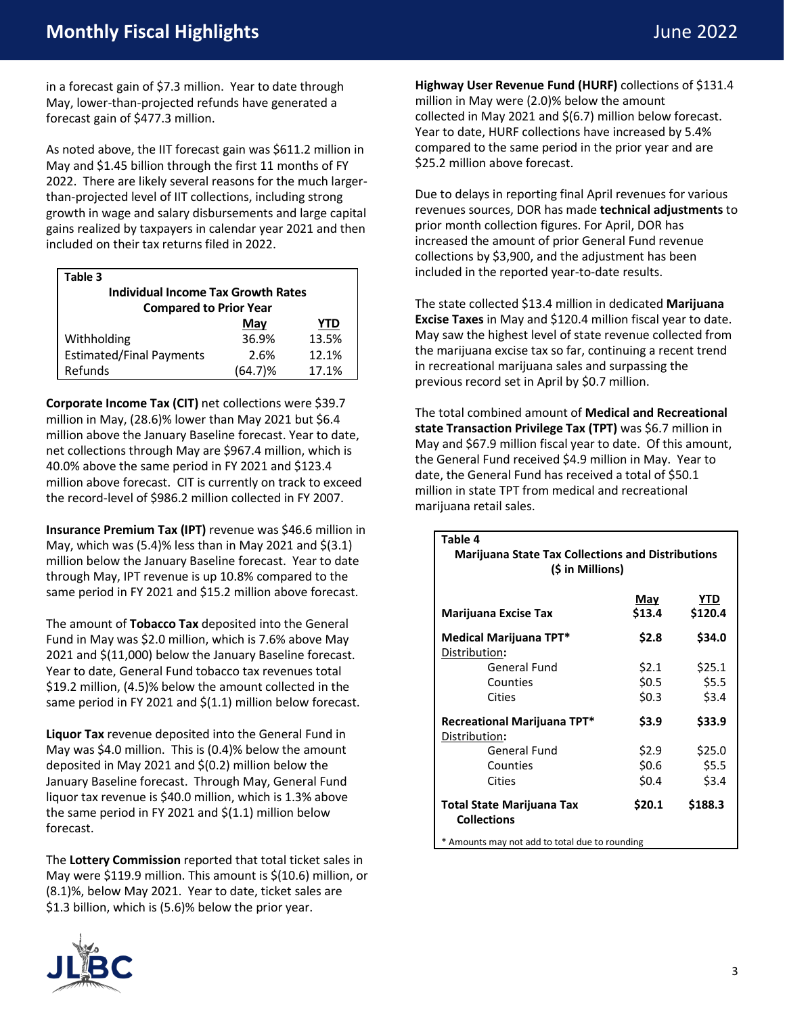in a forecast gain of \$7.3 million. Year to date through May, lower-than-projected refunds have generated a forecast gain of \$477.3 million.

As noted above, the IIT forecast gain was \$611.2 million in May and \$1.45 billion through the first 11 months of FY 2022. There are likely several reasons for the much largerthan-projected level of IIT collections, including strong growth in wage and salary disbursements and large capital gains realized by taxpayers in calendar year 2021 and then included on their tax returns filed in 2022.

| Table 3                                   |         |       |  |  |  |  |
|-------------------------------------------|---------|-------|--|--|--|--|
| <b>Individual Income Tax Growth Rates</b> |         |       |  |  |  |  |
| <b>Compared to Prior Year</b>             |         |       |  |  |  |  |
|                                           | May     | YTD   |  |  |  |  |
| Withholding                               | 36.9%   | 13.5% |  |  |  |  |
| <b>Estimated/Final Payments</b>           | 2.6%    | 12.1% |  |  |  |  |
| Refunds                                   | (64.7)% | 17.1% |  |  |  |  |

**Corporate Income Tax (CIT)** net collections were \$39.7 million in May, (28.6)% lower than May 2021 but \$6.4 million above the January Baseline forecast. Year to date, net collections through May are \$967.4 million, which is 40.0% above the same period in FY 2021 and \$123.4 million above forecast. CIT is currently on track to exceed the record-level of \$986.2 million collected in FY 2007.

**Insurance Premium Tax (IPT)** revenue was \$46.6 million in May, which was  $(5.4)$ % less than in May 2021 and  $\zeta(3.1)$ million below the January Baseline forecast. Year to date through May, IPT revenue is up 10.8% compared to the same period in FY 2021 and \$15.2 million above forecast.

The amount of **Tobacco Tax** deposited into the General Fund in May was \$2.0 million, which is 7.6% above May 2021 and \$(11,000) below the January Baseline forecast. Year to date, General Fund tobacco tax revenues total \$19.2 million, (4.5)% below the amount collected in the same period in FY 2021 and  $\zeta(1.1)$  million below forecast.

**Liquor Tax** revenue deposited into the General Fund in May was \$4.0 million. This is (0.4)% below the amount deposited in May 2021 and \$(0.2) million below the January Baseline forecast. Through May, General Fund liquor tax revenue is \$40.0 million, which is 1.3% above the same period in FY 2021 and \$(1.1) million below forecast.

The **Lottery Commission** reported that total ticket sales in May were \$119.9 million. This amount is \$(10.6) million, or (8.1)%, below May 2021. Year to date, ticket sales are \$1.3 billion, which is (5.6)% below the prior year.



**Highway User Revenue Fund (HURF)** collections of \$131.4 million in May were (2.0)% below the amount collected in May 2021 and \$(6.7) million below forecast. Year to date, HURF collections have increased by 5.4% compared to the same period in the prior year and are \$25.2 million above forecast.

Due to delays in reporting final April revenues for various revenues sources, DOR has made **technical adjustments** to prior month collection figures. For April, DOR has increased the amount of prior General Fund revenue collections by \$3,900, and the adjustment has been included in the reported year-to-date results.

The state collected \$13.4 million in dedicated **Marijuana Excise Taxes** in May and \$120.4 million fiscal year to date. May saw the highest level of state revenue collected from the marijuana excise tax so far, continuing a recent trend in recreational marijuana sales and surpassing the previous record set in April by \$0.7 million.

The total combined amount of **Medical and Recreational state Transaction Privilege Tax (TPT)** was \$6.7 million in May and \$67.9 million fiscal year to date. Of this amount, the General Fund received \$4.9 million in May. Year to date, the General Fund has received a total of \$50.1 million in state TPT from medical and recreational marijuana retail sales.

| Table 4                                                                      |       |        |  |  |  |  |  |  |
|------------------------------------------------------------------------------|-------|--------|--|--|--|--|--|--|
| <b>Marijuana State Tax Collections and Distributions</b><br>(\$ in Millions) |       |        |  |  |  |  |  |  |
| <u>YTD</u><br><u>May</u><br>\$13.4<br>\$120.4<br><b>Marijuana Excise Tax</b> |       |        |  |  |  |  |  |  |
| Medical Marijuana TPT*<br>Distribution:                                      | \$2.8 | \$34.0 |  |  |  |  |  |  |
| General Fund                                                                 | \$2.1 | \$25.1 |  |  |  |  |  |  |
| Counties                                                                     | \$0.5 | \$5.5  |  |  |  |  |  |  |
| Cities                                                                       | \$0.3 | \$3.4  |  |  |  |  |  |  |
| Recreational Marijuana TPT*<br>Distribution:                                 | \$3.9 | \$33.9 |  |  |  |  |  |  |
| <b>General Fund</b>                                                          | \$2.9 | \$25.0 |  |  |  |  |  |  |
| Counties                                                                     | \$0.6 | \$5.5  |  |  |  |  |  |  |
| Cities                                                                       | \$0.4 | \$3.4  |  |  |  |  |  |  |
| \$20.1<br>\$188.3<br><b>Total State Marijuana Tax</b><br><b>Collections</b>  |       |        |  |  |  |  |  |  |
| * Amounts may not add to total due to rounding                               |       |        |  |  |  |  |  |  |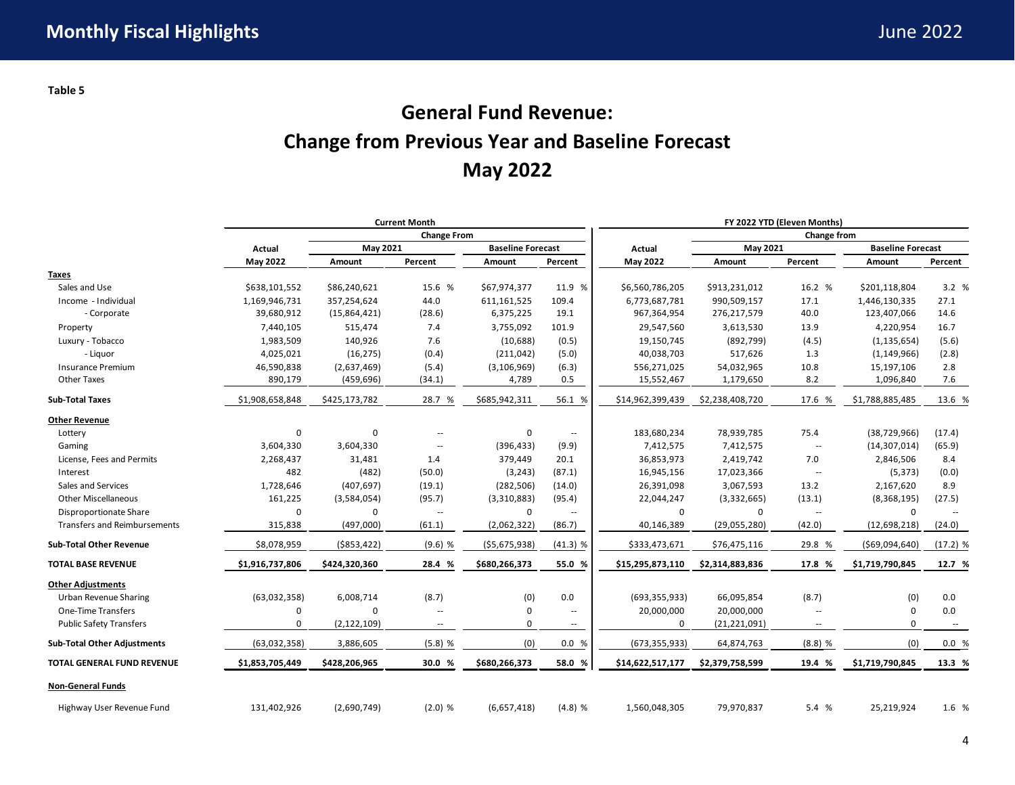## **General Fund Revenue: Change from Previous Year and Baseline Forecast May 2022**

|                                     | <b>Current Month</b> |               |                          |                | FY 2022 YTD (Eleven Months) |                  |                 |                          |                          |                          |
|-------------------------------------|----------------------|---------------|--------------------------|----------------|-----------------------------|------------------|-----------------|--------------------------|--------------------------|--------------------------|
|                                     | <b>Change From</b>   |               |                          |                | Change from                 |                  |                 |                          |                          |                          |
|                                     | Actual               |               | May 2021                 |                | <b>Baseline Forecast</b>    | Actual           | May 2021        |                          | <b>Baseline Forecast</b> |                          |
|                                     | May 2022             | Amount        | Percent                  | Amount         | Percent                     | May 2022         | Amount          | Percent                  | Amount                   | Percent                  |
| <b>Taxes</b>                        |                      |               |                          |                |                             |                  |                 |                          |                          |                          |
| Sales and Use                       | \$638,101,552        | \$86,240,621  | 15.6 %                   | \$67,974,377   | 11.9 %                      | \$6,560,786,205  | \$913,231,012   | 16.2 %                   | \$201,118,804            | 3.2 %                    |
| Income - Individual                 | 1,169,946,731        | 357,254,624   | 44.0                     | 611,161,525    | 109.4                       | 6,773,687,781    | 990,509,157     | 17.1                     | 1,446,130,335            | 27.1                     |
| - Corporate                         | 39,680,912           | (15,864,421)  | (28.6)                   | 6,375,225      | 19.1                        | 967,364,954      | 276,217,579     | 40.0                     | 123,407,066              | 14.6                     |
| Property                            | 7,440,105            | 515,474       | 7.4                      | 3,755,092      | 101.9                       | 29,547,560       | 3,613,530       | 13.9                     | 4,220,954                | 16.7                     |
| Luxury - Tobacco                    | 1,983,509            | 140,926       | 7.6                      | (10, 688)      | (0.5)                       | 19,150,745       | (892, 799)      | (4.5)                    | (1, 135, 654)            | (5.6)                    |
| - Liquor                            | 4,025,021            | (16, 275)     | (0.4)                    | (211, 042)     | (5.0)                       | 40,038,703       | 517,626         | 1.3                      | (1, 149, 966)            | (2.8)                    |
| <b>Insurance Premium</b>            | 46,590,838           | (2,637,469)   | (5.4)                    | (3, 106, 969)  | (6.3)                       | 556,271,025      | 54,032,965      | 10.8                     | 15,197,106               | 2.8                      |
| <b>Other Taxes</b>                  | 890,179              | (459, 696)    | (34.1)                   | 4,789          | 0.5                         | 15,552,467       | 1,179,650       | 8.2                      | 1,096,840                | 7.6                      |
| <b>Sub-Total Taxes</b>              | \$1,908,658,848      | \$425,173,782 | 28.7 %                   | \$685,942,311  | 56.1 %                      | \$14,962,399,439 | \$2,238,408,720 | 17.6 %                   | \$1,788,885,485          | 13.6 %                   |
| <b>Other Revenue</b>                |                      |               |                          |                |                             |                  |                 |                          |                          |                          |
| Lottery                             | $\mathbf 0$          | $\mathbf 0$   | $\overline{\phantom{a}}$ | 0              | $\overline{\phantom{a}}$    | 183,680,234      | 78,939,785      | 75.4                     | (38, 729, 966)           | (17.4)                   |
| Gaming                              | 3,604,330            | 3,604,330     | $\overline{\phantom{a}}$ | (396, 433)     | (9.9)                       | 7,412,575        | 7,412,575       | $\overline{\phantom{a}}$ | (14, 307, 014)           | (65.9)                   |
| License, Fees and Permits           | 2,268,437            | 31,481        | 1.4                      | 379,449        | 20.1                        | 36,853,973       | 2,419,742       | 7.0                      | 2,846,506                | 8.4                      |
| Interest                            | 482                  | (482)         | (50.0)                   | (3, 243)       | (87.1)                      | 16,945,156       | 17,023,366      | $\overline{\phantom{a}}$ | (5, 373)                 | (0.0)                    |
| Sales and Services                  | 1,728,646            | (407, 697)    | (19.1)                   | (282, 506)     | (14.0)                      | 26,391,098       | 3,067,593       | 13.2                     | 2,167,620                | 8.9                      |
| <b>Other Miscellaneous</b>          | 161,225              | (3,584,054)   | (95.7)                   | (3,310,883)    | (95.4)                      | 22,044,247       | (3,332,665)     | (13.1)                   | (8,368,195)              | (27.5)                   |
| Disproportionate Share              | 0                    | 0             | $\overline{\phantom{a}}$ | 0              | $\overline{\phantom{a}}$    | $\mathbf 0$      | 0               | $\overline{\phantom{a}}$ | $\mathbf 0$              | $\overline{\phantom{a}}$ |
| <b>Transfers and Reimbursements</b> | 315,838              | (497,000)     | (61.1)                   | (2,062,322)    | (86.7)                      | 40,146,389       | (29,055,280)    | (42.0)                   | (12,698,218)             | (24.0)                   |
| <b>Sub-Total Other Revenue</b>      | \$8,078,959          | ( \$853, 422) | $(9.6)$ %                | ( \$5,675,938) | $(41.3)$ %                  | \$333,473,671    | \$76,475,116    | 29.8 %                   | ( \$69,094,640)          | $(17.2)$ %               |
| <b>TOTAL BASE REVENUE</b>           | \$1,916,737,806      | \$424,320,360 | 28.4 %                   | \$680,266,373  | 55.0 %                      | \$15,295,873,110 | \$2,314,883,836 | 17.8 %                   | \$1,719,790,845          | 12.7 %                   |
| <b>Other Adjustments</b>            |                      |               |                          |                |                             |                  |                 |                          |                          |                          |
| <b>Urban Revenue Sharing</b>        | (63,032,358)         | 6,008,714     | (8.7)                    | (0)            | 0.0                         | (693, 355, 933)  | 66,095,854      | (8.7)                    | (0)                      | 0.0                      |
| One-Time Transfers                  | 0                    | $\Omega$      | $\overline{\phantom{a}}$ | $\mathbf 0$    | $\overline{\phantom{a}}$    | 20,000,000       | 20,000,000      | $\overline{\phantom{a}}$ | $\mathbf 0$              | 0.0                      |
| <b>Public Safety Transfers</b>      | 0                    | (2, 122, 109) | $\overline{\phantom{a}}$ | 0              | $\overline{\phantom{a}}$    | 0                | (21, 221, 091)  | $\overline{\phantom{a}}$ | $\mathbf 0$              | $\overline{\phantom{a}}$ |
| <b>Sub-Total Other Adjustments</b>  | (63,032,358)         | 3,886,605     | $(5.8)$ %                | (0)            | 0.0 %                       | (673, 355, 933)  | 64,874,763      | $(8.8)$ %                | (0)                      | 0.0%                     |
| <b>TOTAL GENERAL FUND REVENUE</b>   | \$1,853,705,449      | \$428,206,965 | 30.0 %                   | \$680,266,373  | 58.0 %                      | \$14,622,517,177 | \$2,379,758,599 | 19.4 %                   | \$1,719,790,845          | 13.3 %                   |
| <b>Non-General Funds</b>            |                      |               |                          |                |                             |                  |                 |                          |                          |                          |
| Highway User Revenue Fund           | 131,402,926          | (2,690,749)   | (2.0) %                  | (6,657,418)    | $(4.8)$ %                   | 1,560,048,305    | 79,970,837      | 5.4 %                    | 25,219,924               | 1.6 %                    |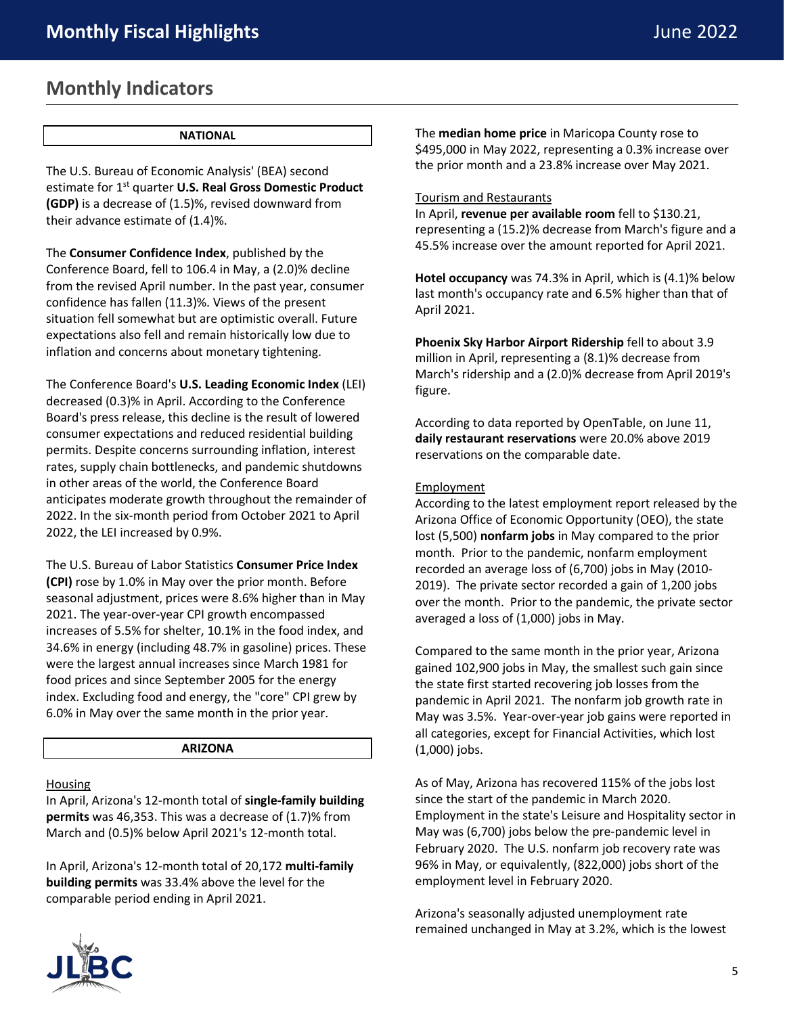### **Monthly Indicators**

#### **NATIONAL**

The U.S. Bureau of Economic Analysis' (BEA) second estimate for 1st quarter **U.S. Real Gross Domestic Product (GDP)** is a decrease of (1.5)%, revised downward from their advance estimate of (1.4)%.

The **Consumer Confidence Index**, published by the Conference Board, fell to 106.4 in May, a (2.0)% decline from the revised April number. In the past year, consumer confidence has fallen (11.3)%. Views of the present situation fell somewhat but are optimistic overall. Future expectations also fell and remain historically low due to inflation and concerns about monetary tightening.

The Conference Board's **U.S. Leading Economic Index** (LEI) decreased (0.3)% in April. According to the Conference Board's press release, this decline is the result of lowered consumer expectations and reduced residential building permits. Despite concerns surrounding inflation, interest rates, supply chain bottlenecks, and pandemic shutdowns in other areas of the world, the Conference Board anticipates moderate growth throughout the remainder of 2022. In the six-month period from October 2021 to April 2022, the LEI increased by 0.9%.

The U.S. Bureau of Labor Statistics **Consumer Price Index (CPI)** rose by 1.0% in May over the prior month. Before seasonal adjustment, prices were 8.6% higher than in May 2021. The year-over-year CPI growth encompassed increases of 5.5% for shelter, 10.1% in the food index, and 34.6% in energy (including 48.7% in gasoline) prices. These were the largest annual increases since March 1981 for food prices and since September 2005 for the energy index. Excluding food and energy, the "core" CPI grew by 6.0% in May over the same month in the prior year.

#### **ARIZONA**

Housing

In April, Arizona's 12-month total of **single-family building permits** was 46,353. This was a decrease of (1.7)% from March and (0.5)% below April 2021's 12-month total.

In April, Arizona's 12-month total of 20,172 **multi-family building permits** was 33.4% above the level for the comparable period ending in April 2021.



#### Tourism and Restaurants

In April, **revenue per available room** fell to \$130.21, representing a (15.2)% decrease from March's figure and a 45.5% increase over the amount reported for April 2021.

**Hotel occupancy** was 74.3% in April, which is (4.1)% below last month's occupancy rate and 6.5% higher than that of April 2021.

**Phoenix Sky Harbor Airport Ridership** fell to about 3.9 million in April, representing a (8.1)% decrease from March's ridership and a (2.0)% decrease from April 2019's figure.

According to data reported by OpenTable, on June 11, **daily restaurant reservations** were 20.0% above 2019 reservations on the comparable date.

#### Employment

According to the latest employment report released by the Arizona Office of Economic Opportunity (OEO), the state lost (5,500) **nonfarm jobs** in May compared to the prior month. Prior to the pandemic, nonfarm employment recorded an average loss of (6,700) jobs in May (2010- 2019). The private sector recorded a gain of 1,200 jobs over the month. Prior to the pandemic, the private sector averaged a loss of (1,000) jobs in May.

Compared to the same month in the prior year, Arizona gained 102,900 jobs in May, the smallest such gain since the state first started recovering job losses from the pandemic in April 2021. The nonfarm job growth rate in May was 3.5%. Year-over-year job gains were reported in all categories, except for Financial Activities, which lost (1,000) jobs.

As of May, Arizona has recovered 115% of the jobs lost since the start of the pandemic in March 2020. Employment in the state's Leisure and Hospitality sector in May was (6,700) jobs below the pre-pandemic level in February 2020. The U.S. nonfarm job recovery rate was 96% in May, or equivalently, (822,000) jobs short of the employment level in February 2020.

Arizona's seasonally adjusted unemployment rate remained unchanged in May at 3.2%, which is the lowest

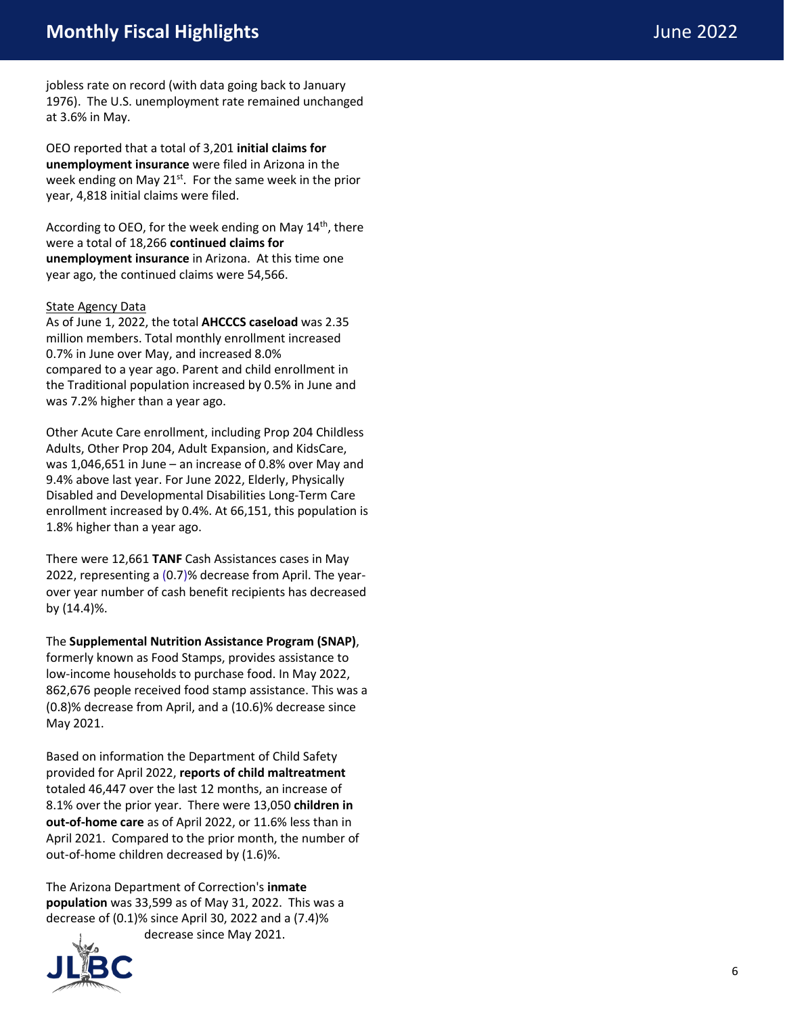jobless rate on record (with data going back to January 1976). The U.S. unemployment rate remained unchanged at 3.6% in May.

OEO reported that a total of 3,201 **initial claims for unemployment insurance** were filed in Arizona in the week ending on May 21<sup>st</sup>. For the same week in the prior year, 4,818 initial claims were filed.

According to OEO, for the week ending on May 14<sup>th</sup>, there were a total of 18,266 **continued claims for unemployment insurance** in Arizona. At this time one year ago, the continued claims were 54,566.

#### State Agency Data

As of June 1, 2022, the total **AHCCCS caseload** was 2.35 million members. Total monthly enrollment increased 0.7% in June over May , and increased 8.0% compared to a year ago. Parent and child enrollment in the Traditional population increased by 0.5% in June and was 7.2% higher than a year ago.

Other Acute Care enrollment, including Prop 204 Childless Adults, Other Prop 204, Adult Expansion, and KidsCare, was 1,046,651 in June – an increase of 0.8% over May and 9.4% above last year. For June 2022, Elderly, Physically Disabled and Developmental Disabilities Long -Term Care enrollment increased by 0.4%. At 66,151, this population is 1.8% higher than a year ago.

There were 12,661 **TANF** Cash Assistances cases in May 2022, representing a (0.7)% decrease from April. The yearover year number of cash benefit recipients has decreased by (14.4)%.

The **Supplemental Nutrition Assistance Program (SNAP)**, formerly known as Food Stamps, provides assistance to low -income households to purchase food. In May 2022, 862,676 people received food stamp assistance. This was a (0.8)% decrease from April, and a (10.6)% decrease since May 2021.

Based on information the Department of Child Safety provided for April 2022, **reports of child maltreatment** totaled 46,447 over the last 12 months, an increase of 8.1% over the prior year. There were 13,050 **children in out -of -home care** as of April 2022, or 11.6% less than in April 2021. Compared to the prior month, the number of out-of-home children decreased by (1.6)%.

The Arizona Department of Correction's **inmate population** was 33,599 as of May 31, 2022. This was a decrease of (0.1)% since April 30, 2022 and a (7.4)% decrease since May 2021.

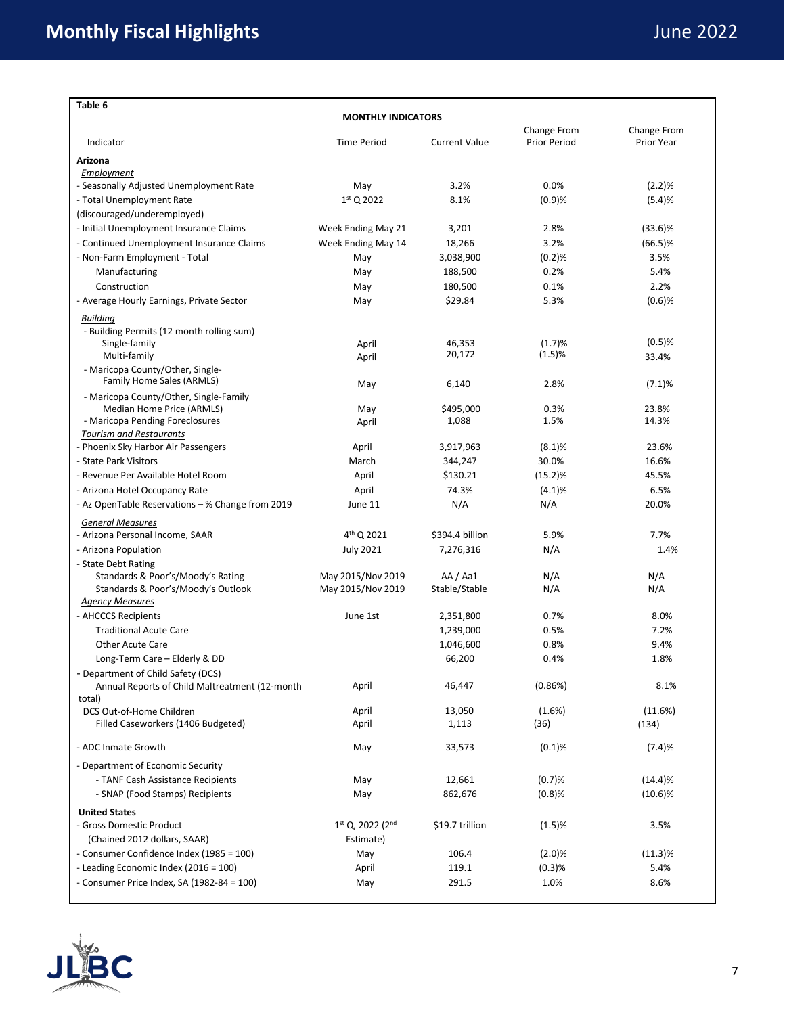| Table 6                                                                              |                        |                      |                             |                           |  |  |
|--------------------------------------------------------------------------------------|------------------------|----------------------|-----------------------------|---------------------------|--|--|
| <b>MONTHLY INDICATORS</b>                                                            |                        |                      |                             |                           |  |  |
| Indicator                                                                            | <b>Time Period</b>     | <b>Current Value</b> | Change From<br>Prior Period | Change From<br>Prior Year |  |  |
| Arizona                                                                              |                        |                      |                             |                           |  |  |
| Employment                                                                           |                        |                      |                             |                           |  |  |
| - Seasonally Adjusted Unemployment Rate                                              | May                    | 3.2%                 | 0.0%                        | (2.2)%                    |  |  |
| - Total Unemployment Rate                                                            | $1st$ Q 2022           | 8.1%                 | (0.9)%                      | (5.4)%                    |  |  |
| (discouraged/underemployed)                                                          |                        |                      |                             |                           |  |  |
| - Initial Unemployment Insurance Claims                                              | Week Ending May 21     | 3,201                | 2.8%                        | $(33.6)\%$                |  |  |
| - Continued Unemployment Insurance Claims                                            | Week Ending May 14     | 18,266               | 3.2%                        | $(66.5)\%$                |  |  |
| - Non-Farm Employment - Total                                                        | May                    | 3,038,900            | (0.2)%                      | 3.5%                      |  |  |
| Manufacturing                                                                        | May                    | 188,500              | 0.2%                        | 5.4%                      |  |  |
| Construction                                                                         | May                    | 180,500              | 0.1%                        | 2.2%                      |  |  |
| - Average Hourly Earnings, Private Sector                                            | May                    | \$29.84              | 5.3%                        | $(0.6)$ %                 |  |  |
| <b>Building</b>                                                                      |                        |                      |                             |                           |  |  |
| - Building Permits (12 month rolling sum)                                            |                        |                      |                             |                           |  |  |
| Single-family                                                                        | April                  | 46,353               | (1.7)%                      | $(0.5)$ %                 |  |  |
| Multi-family                                                                         | April                  | 20,172               | (1.5)%                      | 33.4%                     |  |  |
| - Maricopa County/Other, Single-                                                     |                        |                      |                             |                           |  |  |
| Family Home Sales (ARMLS)                                                            | May                    | 6,140                | 2.8%                        | (7.1)%                    |  |  |
| - Maricopa County/Other, Single-Family                                               |                        |                      |                             | 23.8%                     |  |  |
| Median Home Price (ARMLS)<br>- Maricopa Pending Foreclosures                         | May<br>April           | \$495,000<br>1,088   | 0.3%<br>1.5%                | 14.3%                     |  |  |
| <b>Tourism and Restaurants</b>                                                       |                        |                      |                             |                           |  |  |
| - Phoenix Sky Harbor Air Passengers                                                  | April                  | 3,917,963            | (8.1)%                      | 23.6%                     |  |  |
| - State Park Visitors                                                                | March                  | 344,247              | 30.0%                       | 16.6%                     |  |  |
| - Revenue Per Available Hotel Room                                                   | April                  | \$130.21             | (15.2)%                     | 45.5%                     |  |  |
| - Arizona Hotel Occupancy Rate                                                       | April                  | 74.3%                | (4.1)%                      | 6.5%                      |  |  |
| - Az OpenTable Reservations – % Change from 2019                                     | June 11                | N/A                  | N/A                         | 20.0%                     |  |  |
| <b>General Measures</b>                                                              |                        |                      |                             |                           |  |  |
| - Arizona Personal Income, SAAR                                                      | 4 <sup>th</sup> Q 2021 | \$394.4 billion      | 5.9%                        | 7.7%                      |  |  |
| - Arizona Population                                                                 | <b>July 2021</b>       | 7,276,316            | N/A                         | 1.4%                      |  |  |
| - State Debt Rating                                                                  |                        |                      |                             |                           |  |  |
| Standards & Poor's/Moody's Rating                                                    | May 2015/Nov 2019      | AA/Aa1               | N/A                         | N/A                       |  |  |
| Standards & Poor's/Moody's Outlook                                                   | May 2015/Nov 2019      | Stable/Stable        | N/A                         | N/A                       |  |  |
| <b>Agency Measures</b>                                                               |                        |                      |                             |                           |  |  |
| - AHCCCS Recipients                                                                  | June 1st               | 2,351,800            | 0.7%                        | 8.0%                      |  |  |
| <b>Traditional Acute Care</b>                                                        |                        | 1,239,000            | 0.5%                        | 7.2%                      |  |  |
| Other Acute Care                                                                     |                        | 1,046,600            | 0.8%                        | 9.4%                      |  |  |
| Long-Term Care - Elderly & DD                                                        |                        | 66,200               | 0.4%                        | 1.8%                      |  |  |
| - Department of Child Safety (DCS)<br>Annual Reports of Child Maltreatment (12-month | April                  | 46,447               | (0.86%)                     | 8.1%                      |  |  |
| total)                                                                               |                        |                      |                             |                           |  |  |
| DCS Out-of-Home Children                                                             | April                  | 13,050               | $(1.6\%)$                   | (11.6%)                   |  |  |
| Filled Caseworkers (1406 Budgeted)                                                   | April                  | 1,113                | (36)                        | (134)                     |  |  |
| - ADC Inmate Growth                                                                  | May                    | 33,573               | (0.1)%                      | (7.4)%                    |  |  |
|                                                                                      |                        |                      |                             |                           |  |  |
| - Department of Economic Security                                                    |                        |                      |                             |                           |  |  |
| - TANF Cash Assistance Recipients                                                    | May                    | 12,661               | (0.7)%                      | (14.4)%                   |  |  |
| - SNAP (Food Stamps) Recipients                                                      | May                    | 862,676              | (0.8)%                      | $(10.6)\%$                |  |  |
| <b>United States</b>                                                                 |                        |                      |                             |                           |  |  |
| - Gross Domestic Product                                                             | 1st Q, 2022 (2nd       | \$19.7 trillion      | (1.5)%                      | 3.5%                      |  |  |
| (Chained 2012 dollars, SAAR)                                                         | Estimate)              |                      |                             |                           |  |  |
| - Consumer Confidence Index (1985 = 100)                                             | May                    | 106.4                | (2.0)%                      | $(11.3)\%$                |  |  |
| - Leading Economic Index (2016 = 100)                                                | April                  | 119.1                | (0.3)%                      | 5.4%                      |  |  |
| - Consumer Price Index, SA (1982-84 = 100)                                           | May                    | 291.5                | 1.0%                        | 8.6%                      |  |  |

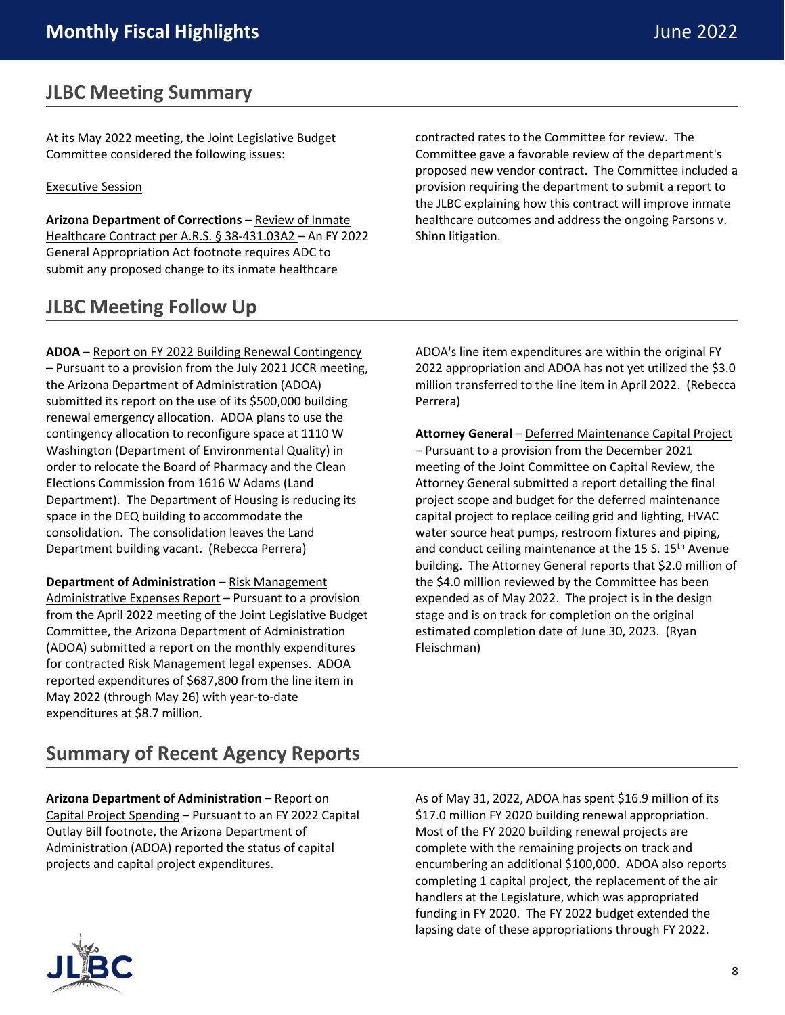### **JLBC Meeting Summary**

At its May 2022 meeting, the Joint Legislative Budget Committee considered the following issues:

#### Executive Session

**Arizona Department of Corrections** – Review of Inmate Healthcare Contract per A.R.S. § 38-431.03A2 – An FY 2022 General Appropriation Act footnote requires ADC to submit any proposed change to its inmate healthcare

### **JLBC Meeting Follow Up**

contracted rates to the Committee for review. The Committee gave a favorable review of the department's proposed new vendor contract. The Committee included a provision requiring the department to submit a report to the JLBC explaining how this contract will improve inmate healthcare outcomes and address the ongoing Parsons v. Shinn litigation.

**ADOA** – Report on FY 2022 Building Renewal Contingency – Pursuant to a provision from the July 2021 JCCR meeting, the Arizona Department of Administration (ADOA) submitted its report on the use of its \$500,000 building renewal emergency allocation. ADOA plans to use the contingency allocation to reconfigure space at 1110 W Washington (Department of Environmental Quality) in order to relocate the Board of Pharmacy and the Clean Elections Commission from 1616 W Adams (Land Department). The Department of Housing is reducing its space in the DEQ building to accommodate the consolidation. The consolidation leaves the Land Department building vacant. (Rebecca Perrera)

**Department of Administration** – Risk Management Administrative Expenses Report – Pursuant to a provision from the April 2022 meeting of the Joint Legislative Budget Committee, the Arizona Department of Administration (ADOA) submitted a report on the monthly expenditures for contracted Risk Management legal expenses. ADOA reported expenditures of \$687,800 from the line item in May 2022 (through May 26) with year-to-date expenditures at \$8.7 million.

ADOA's line item expenditures are within the original FY 2022 appropriation and ADOA has not yet utilized the \$3.0 million transferred to the line item in April 2022. (Rebecca Perrera)

**Attorney General** – Deferred Maintenance Capital Project – Pursuant to a provision from the December 2021 meeting of the Joint Committee on Capital Review, the Attorney General submitted a report detailing the final project scope and budget for the deferred maintenance capital project to replace ceiling grid and lighting, HVAC water source heat pumps, restroom fixtures and piping, and conduct ceiling maintenance at the 15 S. 15<sup>th</sup> Avenue building. The Attorney General reports that \$2.0 million of the \$4.0 million reviewed by the Committee has been expended as of May 2022. The project is in the design stage and is on track for completion on the original estimated completion date of June 30, 2023. (Ryan Fleischman)

### **Summary of Recent Agency Reports**

**Arizona Department of Administration** – Report on Capital Project Spending – Pursuant to an FY 2022 Capital Outlay Bill footnote, the Arizona Department of Administration (ADOA) reported the status of capital projects and capital project expenditures.

As of May 31, 2022, ADOA has spent \$16.9 million of its \$17.0 million FY 2020 building renewal appropriation. Most of the FY 2020 building renewal projects are complete with the remaining projects on track and encumbering an additional \$100,000. ADOA also reports completing 1 capital project, the replacement of the air handlers at the Legislature, which was appropriated funding in FY 2020. The FY 2022 budget extended the lapsing date of these appropriations through FY 2022.

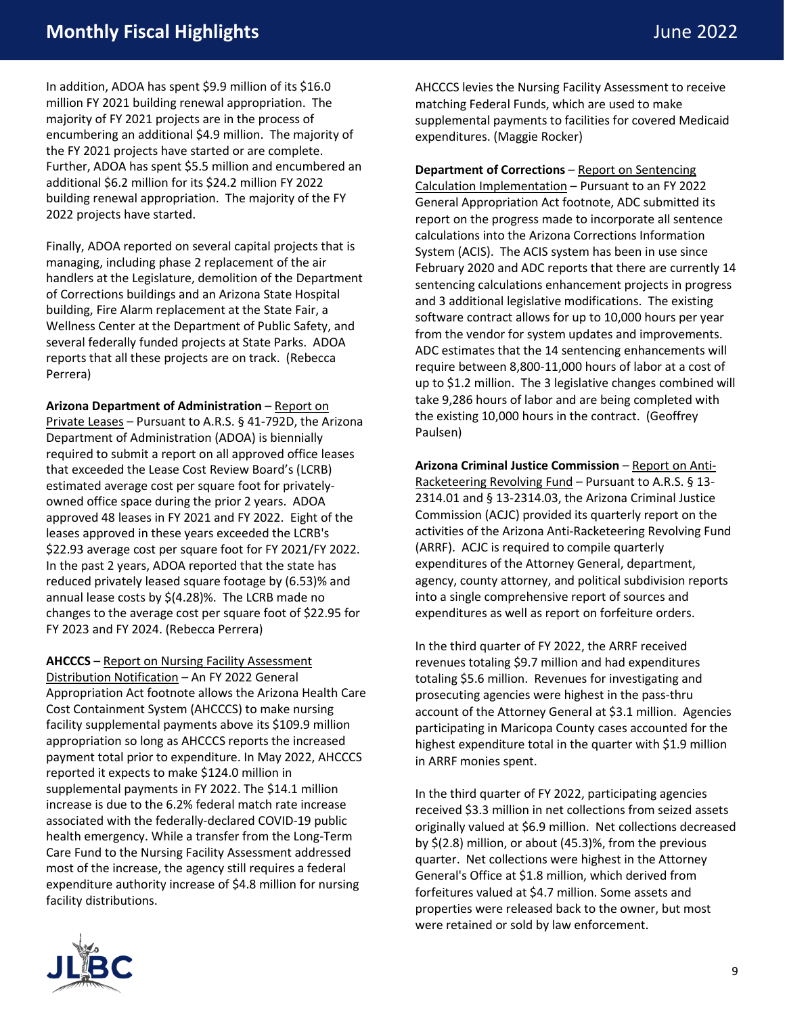### **Monthly Fiscal Highlights** June 2022

In addition, ADOA has spent \$9.9 million of its \$16.0 million FY 2021 building renewal appropriation. The majority of FY 2021 projects are in the process of encumbering an additional \$4.9 million. The majority of the FY 2021 projects have started or are complete. Further, ADOA has spent \$5.5 million and encumbered an additional \$6.2 million for its \$24.2 million FY 2022 building renewal appropriation. The majority of the FY 2022 projects have started.

Finally, ADOA reported on several capital projects that is managing, including phase 2 replacement of the air handlers at the Legislature, demolition of the Department of Corrections buildings and an Arizona State Hospital building, Fire Alarm replacement at the State Fair, a Wellness Center at the Department of Public Safety, and several federally funded projects at State Parks. ADOA reports that all these projects are on track. (Rebecca Perrera)

**Arizona Department of Administration** – Report on Private Leases – Pursuant to A.R.S. § 41-792D, the Arizona Department of Administration (ADOA) is biennially required to submit a report on all approved office leases that exceeded the Lease Cost Review Board's (LCRB) estimated average cost per square foot for privatelyowned office space during the prior 2 years. ADOA approved 48 leases in FY 2021 and FY 2022. Eight of the leases approved in these years exceeded the LCRB's \$22.93 average cost per square foot for FY 2021/FY 2022. In the past 2 years, ADOA reported that the state has reduced privately leased square footage by (6.53)% and annual lease costs by \$(4.28)%. The LCRB made no changes to the average cost per square foot of \$22.95 for FY 2023 and FY 2024. (Rebecca Perrera)

**AHCCCS** – Report on Nursing Facility Assessment Distribution Notification – An FY 2022 General Appropriation Act footnote allows the Arizona Health Care Cost Containment System (AHCCCS) to make nursing facility supplemental payments above its \$109.9 million appropriation so long as AHCCCS reports the increased payment total prior to expenditure. In May 2022, AHCCCS reported it expects to make \$124.0 million in supplemental payments in FY 2022. The \$14.1 million increase is due to the 6.2% federal match rate increase associated with the federally-declared COVID-19 public health emergency. While a transfer from the Long-Term Care Fund to the Nursing Facility Assessment addressed most of the increase, the agency still requires a federal expenditure authority increase of \$4.8 million for nursing facility distributions.

AHCCCS levies the Nursing Facility Assessment to receive matching Federal Funds, which are used to make supplemental payments to facilities for covered Medicaid expenditures. (Maggie Rocker)

**Department of Corrections** – Report on Sentencing Calculation Implementation – Pursuant to an FY 2022 General Appropriation Act footnote, ADC submitted its report on the progress made to incorporate all sentence calculations into the Arizona Corrections Information System (ACIS). The ACIS system has been in use since February 2020 and ADC reports that there are currently 14 sentencing calculations enhancement projects in progress and 3 additional legislative modifications. The existing software contract allows for up to 10,000 hours per year from the vendor for system updates and improvements. ADC estimates that the 14 sentencing enhancements will require between 8,800-11,000 hours of labor at a cost of up to \$1.2 million. The 3 legislative changes combined will take 9,286 hours of labor and are being completed with the existing 10,000 hours in the contract. (Geoffrey Paulsen)

**Arizona Criminal Justice Commission** – Report on Anti-Racketeering Revolving Fund – Pursuant to A.R.S. § 13- 2314.01 and § 13-2314.03, the Arizona Criminal Justice Commission (ACJC) provided its quarterly report on the activities of the Arizona Anti-Racketeering Revolving Fund (ARRF). ACJC is required to compile quarterly expenditures of the Attorney General, department, agency, county attorney, and political subdivision reports into a single comprehensive report of sources and expenditures as well as report on forfeiture orders.

In the third quarter of FY 2022, the ARRF received revenues totaling \$9.7 million and had expenditures totaling \$5.6 million. Revenues for investigating and prosecuting agencies were highest in the pass-thru account of the Attorney General at \$3.1 million. Agencies participating in Maricopa County cases accounted for the highest expenditure total in the quarter with \$1.9 million in ARRF monies spent.

In the third quarter of FY 2022, participating agencies received \$3.3 million in net collections from seized assets originally valued at \$6.9 million. Net collections decreased by \$(2.8) million, or about (45.3)%, from the previous quarter. Net collections were highest in the Attorney General's Office at \$1.8 million, which derived from forfeitures valued at \$4.7 million. Some assets and properties were released back to the owner, but most were retained or sold by law enforcement.

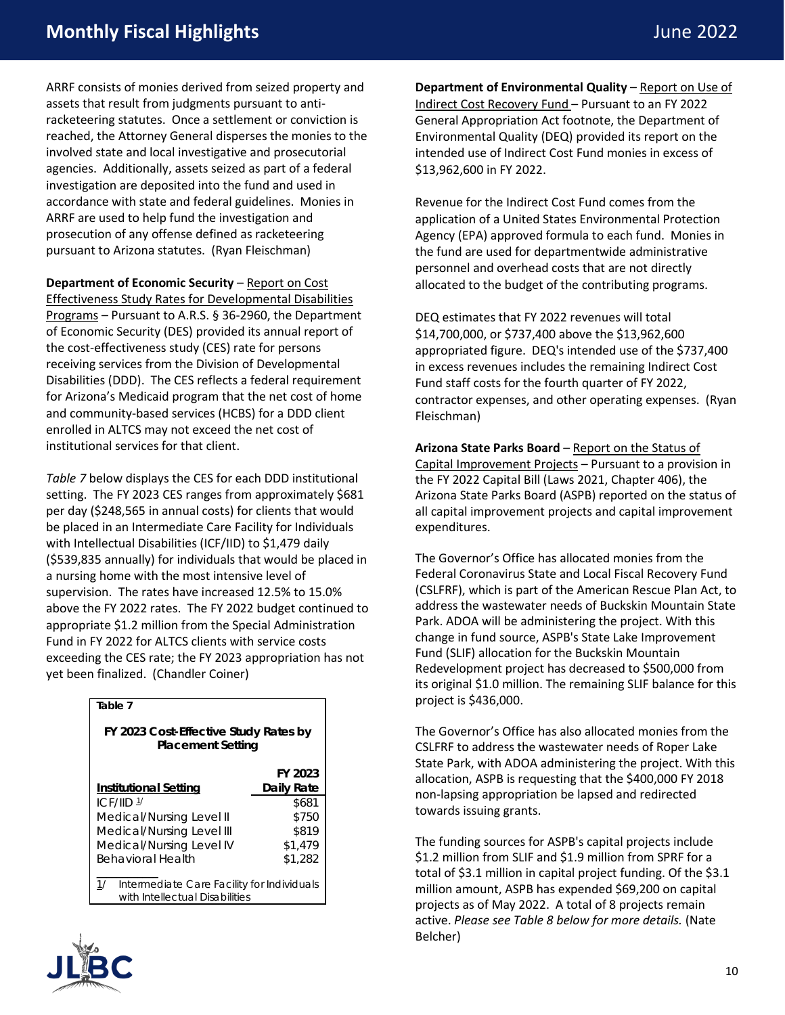### **Monthly Fiscal Highlights** June 2022

ARRF consists of monies derived from seized property and assets that result from judgments pursuant to antiracketeering statutes. Once a settlement or conviction is reached, the Attorney General disperses the monies to the involved state and local investigative and prosecutorial agencies. Additionally, assets seized as part of a federal investigation are deposited into the fund and used in accordance with state and federal guidelines. Monies in ARRF are used to help fund the investigation and prosecution of any offense defined as racketeering pursuant to Arizona statutes. (Ryan Fleischman)

**Department of Economic Security** – Report on Cost Effectiveness Study Rates for Developmental Disabilities Programs – Pursuant to A.R.S. § 36-2960, the Department of Economic Security (DES) provided its annual report of the cost-effectiveness study (CES) rate for persons receiving services from the Division of Developmental Disabilities (DDD). The CES reflects a federal requirement for Arizona's Medicaid program that the net cost of home and community-based services (HCBS) for a DDD client enrolled in ALTCS may not exceed the net cost of institutional services for that client.

*Table 7* below displays the CES for each DDD institutional setting. The FY 2023 CES ranges from approximately \$681 per day (\$248,565 in annual costs) for clients that would be placed in an Intermediate Care Facility for Individuals with Intellectual Disabilities (ICF/IID) to \$1,479 daily (\$539,835 annually) for individuals that would be placed in a nursing home with the most intensive level of supervision. The rates have increased 12.5% to 15.0% above the FY 2022 rates. The FY 2022 budget continued to appropriate \$1.2 million from the Special Administration Fund in FY 2022 for ALTCS clients with service costs exceeding the CES rate; the FY 2023 appropriation has not yet been finalized. (Chandler Coiner)

| Table 7                                                                            |            |  |  |  |  |
|------------------------------------------------------------------------------------|------------|--|--|--|--|
| FY 2023 Cost-Effective Study Rates by<br><b>Placement Setting</b>                  |            |  |  |  |  |
|                                                                                    | FY 2023    |  |  |  |  |
| Institutional Setting                                                              | Daily Rate |  |  |  |  |
| ICF/IID 1/                                                                         | \$681      |  |  |  |  |
| Medical/Nursing Level II                                                           | \$750      |  |  |  |  |
| Medical/Nursing Level III                                                          | \$819      |  |  |  |  |
| Medical/Nursing Level IV                                                           | \$1,479    |  |  |  |  |
| <b>Behavioral Health</b>                                                           | \$1,282    |  |  |  |  |
| 1/<br>Intermediate Care Facility for Individuals<br>with Intellectual Disabilities |            |  |  |  |  |



**Department of Environmental Quality** – Report on Use of Indirect Cost Recovery Fund – Pursuant to an FY 2022 General Appropriation Act footnote, the Department of Environmental Quality (DEQ) provided its report on the intended use of Indirect Cost Fund monies in excess of \$13,962,600 in FY 2022.

Revenue for the Indirect Cost Fund comes from the application of a United States Environmental Protection Agency (EPA) approved formula to each fund. Monies in the fund are used for departmentwide administrative personnel and overhead costs that are not directly allocated to the budget of the contributing programs.

DEQ estimates that FY 2022 revenues will total \$14,700,000, or \$737,400 above the \$13,962,600 appropriated figure. DEQ's intended use of the \$737,400 in excess revenues includes the remaining Indirect Cost Fund staff costs for the fourth quarter of FY 2022, contractor expenses, and other operating expenses. (Ryan Fleischman)

**Arizona State Parks Board** – Report on the Status of Capital Improvement Projects – Pursuant to a provision in the FY 2022 Capital Bill (Laws 2021, Chapter 406), the Arizona State Parks Board (ASPB) reported on the status of all capital improvement projects and capital improvement expenditures.

The Governor's Office has allocated monies from the Federal Coronavirus State and Local Fiscal Recovery Fund (CSLFRF), which is part of the American Rescue Plan Act, to address the wastewater needs of Buckskin Mountain State Park. ADOA will be administering the project. With this change in fund source, ASPB's State Lake Improvement Fund (SLIF) allocation for the Buckskin Mountain Redevelopment project has decreased to \$500,000 from its original \$1.0 million. The remaining SLIF balance for this project is \$436,000.

The Governor's Office has also allocated monies from the CSLFRF to address the wastewater needs of Roper Lake State Park, with ADOA administering the project. With this allocation, ASPB is requesting that the \$400,000 FY 2018 non-lapsing appropriation be lapsed and redirected towards issuing grants.

The funding sources for ASPB's capital projects include \$1.2 million from SLIF and \$1.9 million from SPRF for a total of \$3.1 million in capital project funding. Of the \$3.1 million amount, ASPB has expended \$69,200 on capital projects as of May 2022. A total of 8 projects remain active. *Please see Table 8 below for more details.* (Nate Belcher)